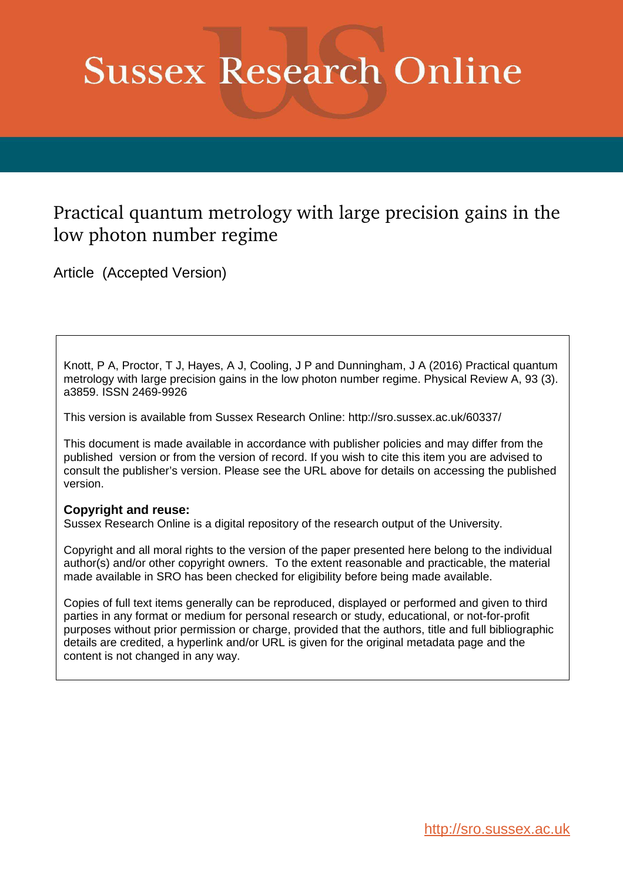# **Sussex Research Online**

# Practical quantum metrology with large precision gains in the low photon number regime

Article (Accepted Version)

Knott, P A, Proctor, T J, Hayes, A J, Cooling, J P and Dunningham, J A (2016) Practical quantum metrology with large precision gains in the low photon number regime. Physical Review A, 93 (3). a3859. ISSN 2469-9926

This version is available from Sussex Research Online: http://sro.sussex.ac.uk/60337/

This document is made available in accordance with publisher policies and may differ from the published version or from the version of record. If you wish to cite this item you are advised to consult the publisher's version. Please see the URL above for details on accessing the published version.

## **Copyright and reuse:**

Sussex Research Online is a digital repository of the research output of the University.

Copyright and all moral rights to the version of the paper presented here belong to the individual author(s) and/or other copyright owners. To the extent reasonable and practicable, the material made available in SRO has been checked for eligibility before being made available.

Copies of full text items generally can be reproduced, displayed or performed and given to third parties in any format or medium for personal research or study, educational, or not-for-profit purposes without prior permission or charge, provided that the authors, title and full bibliographic details are credited, a hyperlink and/or URL is given for the original metadata page and the content is not changed in any way.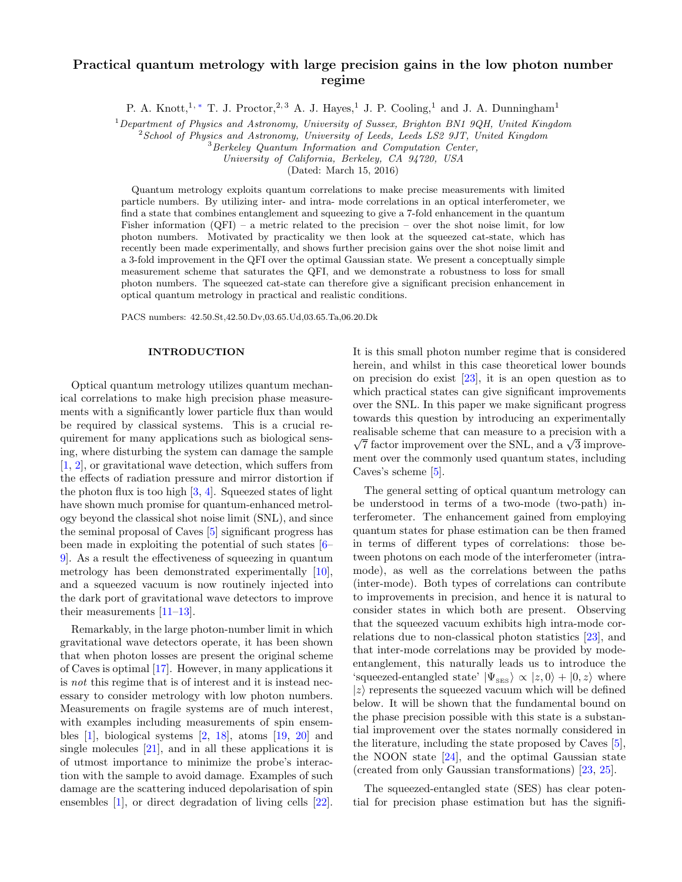### Practical quantum metrology with large precision gains in the low photon number regime

P. A. Knott,<sup>1,\*</sup> T. J. Proctor,<sup>2, 3</sup> A. J. Hayes,<sup>1</sup> J. P. Cooling,<sup>1</sup> and J. A. Dunningham<sup>1</sup>

<sup>1</sup>Department of Physics and Astronomy, University of Sussex, Brighton BN1 9QH, United Kingdom

 $2$ School of Physics and Astronomy, University of Leeds, Leeds LS2 9JT, United Kingdom

<sup>3</sup>Berkeley Quantum Information and Computation Center,

University of California, Berkeley, CA 94720, USA

<span id="page-1-1"></span>(Dated: March 15, 2016)

Quantum metrology exploits quantum correlations to make precise measurements with limited particle numbers. By utilizing inter- and intra- mode correlations in an optical interferometer, we find a state that combines entanglement and squeezing to give a 7-fold enhancement in the quantum Fisher information  $(QFI)$  – a metric related to the precision – over the shot noise limit, for low photon numbers. Motivated by practicality we then look at the squeezed cat-state, which has recently been made experimentally, and shows further precision gains over the shot noise limit and a 3-fold improvement in the QFI over the optimal Gaussian state. We present a conceptually simple measurement scheme that saturates the QFI, and we demonstrate a robustness to loss for small photon numbers. The squeezed cat-state can therefore give a significant precision enhancement in optical quantum metrology in practical and realistic conditions.

<span id="page-1-0"></span>PACS numbers: 42.50.St,42.50.Dv,03.65.Ud,03.65.Ta,06.20.Dk

#### INTRODUCTION

Optical quantum metrology utilizes quantum mechanical correlations to make high precision phase measurements with a significantly lower particle flux than would be required by classical systems. This is a crucial requirement for many applications such as biological sensing, where disturbing the system can damage the sample [\[1,](#page-6-1) [2\]](#page-6-2), or gravitational wave detection, which suffers from the effects of radiation pressure and mirror distortion if the photon flux is too high  $[3, 4]$  $[3, 4]$ . Squeezed states of light have shown much promise for quantum-enhanced metrology beyond the classical shot noise limit (SNL), and since the seminal proposal of Caves [\[5\]](#page-6-5) significant progress has been made in exploiting the potential of such states [\[6–](#page-6-6) [9\]](#page-6-7). As a result the effectiveness of squeezing in quantum metrology has been demonstrated experimentally [\[10\]](#page-6-8), and a squeezed vacuum is now routinely injected into the dark port of gravitational wave detectors to improve their measurements [\[11](#page-6-9)[–13\]](#page-7-0).

Remarkably, in the large photon-number limit in which gravitational wave detectors operate, it has been shown that when photon losses are present the original scheme of Caves is optimal [\[17\]](#page-7-1). However, in many applications it is not this regime that is of interest and it is instead necessary to consider metrology with low photon numbers. Measurements on fragile systems are of much interest, with examples including measurements of spin ensembles [\[1\]](#page-6-1), biological systems [\[2,](#page-6-2) [18\]](#page-7-2), atoms [\[19,](#page-7-3) [20\]](#page-7-4) and single molecules [\[21\]](#page-7-5), and in all these applications it is of utmost importance to minimize the probe's interaction with the sample to avoid damage. Examples of such damage are the scattering induced depolarisation of spin ensembles [\[1\]](#page-6-1), or direct degradation of living cells [\[22\]](#page-7-6).

It is this small photon number regime that is considered herein, and whilst in this case theoretical lower bounds on precision do exist [\[23\]](#page-7-7), it is an open question as to which practical states can give significant improvements over the SNL. In this paper we make significant progress towards this question by introducing an experimentally realisable scheme that can measure to a precision with a  $\sqrt{7}$  factor improvement over the SNL, and a  $\sqrt{3}$  improvement over the commonly used quantum states, including Caves's scheme [\[5\]](#page-6-5).

<span id="page-1-3"></span><span id="page-1-2"></span>The general setting of optical quantum metrology can be understood in terms of a two-mode (two-path) interferometer. The enhancement gained from employing quantum states for phase estimation can be then framed in terms of different types of correlations: those between photons on each mode of the interferometer (intramode), as well as the correlations between the paths (inter-mode). Both types of correlations can contribute to improvements in precision, and hence it is natural to consider states in which both are present. Observing that the squeezed vacuum exhibits high intra-mode correlations due to non-classical photon statistics [\[23\]](#page-7-7), and that inter-mode correlations may be provided by modeentanglement, this naturally leads us to introduce the 'squeezed-entangled state'  $|\Psi_{\text{SES}}\rangle \propto |z,0\rangle + |0,z\rangle$  where  $|z\rangle$  represents the squeezed vacuum which will be defined below. It will be shown that the fundamental bound on the phase precision possible with this state is a substantial improvement over the states normally considered in the literature, including the state proposed by Caves [\[5\]](#page-6-5), the NOON state [\[24\]](#page-7-8), and the optimal Gaussian state (created from only Gaussian transformations) [\[23,](#page-7-7) [25\]](#page-7-9).

The squeezed-entangled state (SES) has clear potential for precision phase estimation but has the signifi-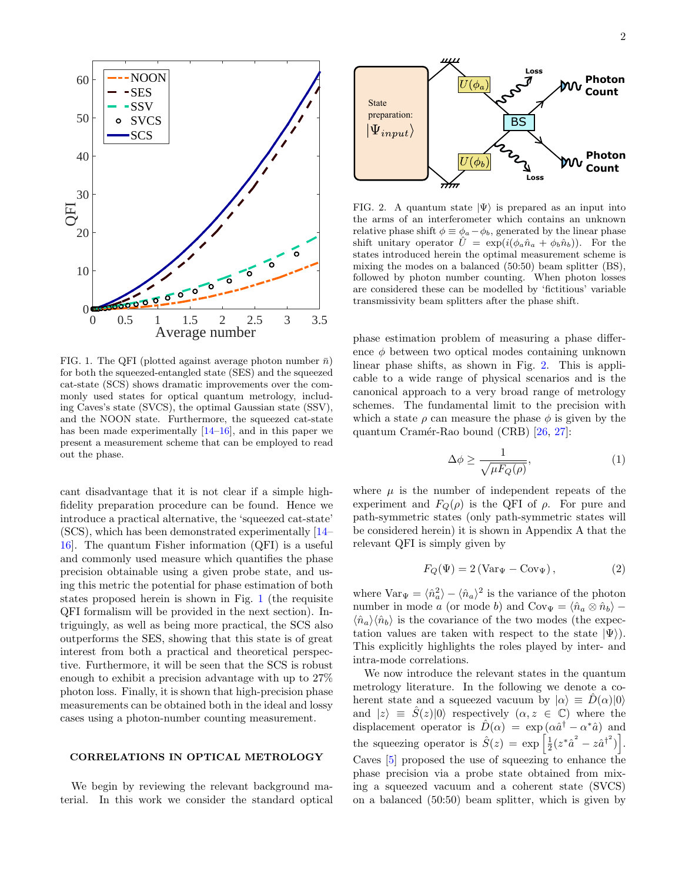

FIG. 1. The QFI (plotted against average photon number  $\bar{n}$ ) for both the squeezed-entangled state (SES) and the squeezed cat-state (SCS) shows dramatic improvements over the commonly used states for optical quantum metrology, including Caves's state (SVCS), the optimal Gaussian state (SSV), and the NOON state. Furthermore, the squeezed cat-state has been made experimentally  $[14-16]$ , and in this paper we present a measurement scheme that can be employed to read out the phase.

cant disadvantage that it is not clear if a simple highfidelity preparation procedure can be found. Hence we introduce a practical alternative, the 'squeezed cat-state' (SCS), which has been demonstrated experimentally [\[14–](#page-7-10) [16\]](#page-7-11). The quantum Fisher information (QFI) is a useful and commonly used measure which quantifies the phase precision obtainable using a given probe state, and using this metric the potential for phase estimation of both states proposed herein is shown in Fig. [1](#page-1-0) (the requisite QFI formalism will be provided in the next section). Intriguingly, as well as being more practical, the SCS also outperforms the SES, showing that this state is of great interest from both a practical and theoretical perspective. Furthermore, it will be seen that the SCS is robust enough to exhibit a precision advantage with up to 27% photon loss. Finally, it is shown that high-precision phase measurements can be obtained both in the ideal and lossy cases using a photon-number counting measurement.

#### CORRELATIONS IN OPTICAL METROLOGY

We begin by reviewing the relevant background material. In this work we consider the standard optical



FIG. 2. A quantum state  $|\Psi\rangle$  is prepared as an input into the arms of an interferometer which contains an unknown relative phase shift  $\phi \equiv \phi_a - \phi_b$ , generated by the linear phase shift unitary operator  $\hat{U} = \exp(i(\phi_a \hat{n}_a + \phi_b \hat{n}_b))$ . For the states introduced herein the optimal measurement scheme is mixing the modes on a balanced (50:50) beam splitter (BS), followed by photon number counting. When photon losses are considered these can be modelled by 'fictitious' variable transmissivity beam splitters after the phase shift.

phase estimation problem of measuring a phase difference  $\phi$  between two optical modes containing unknown linear phase shifts, as shown in Fig. [2.](#page-1-1) This is applicable to a wide range of physical scenarios and is the canonical approach to a very broad range of metrology schemes. The fundamental limit to the precision with which a state  $\rho$  can measure the phase  $\phi$  is given by the quantum Cramér-Rao bound (CRB) [\[26,](#page-7-12) [27\]](#page-7-13):

$$
\Delta \phi \ge \frac{1}{\sqrt{\mu F_Q(\rho)}},\tag{1}
$$

where  $\mu$  is the number of independent repeats of the experiment and  $F_Q(\rho)$  is the QFI of  $\rho$ . For pure and path-symmetric states (only path-symmetric states will be considered herein) it is shown in Appendix A that the relevant QFI is simply given by

<span id="page-2-0"></span>
$$
F_Q(\Psi) = 2(\text{Var}_{\Psi} - \text{Cov}_{\Psi}), \qquad (2)
$$

where  $\text{Var}_{\Psi} = \langle \hat{n}_a^2 \rangle - \langle \hat{n}_a \rangle^2$  is the variance of the photon number in mode a (or mode b) and  $Cov_{\Psi} = \langle \hat{n}_a \otimes \hat{n}_b \rangle \langle \hat{n}_a \rangle \langle \hat{n}_b \rangle$  is the covariance of the two modes (the expectation values are taken with respect to the state  $|\Psi\rangle$ ). This explicitly highlights the roles played by inter- and intra-mode correlations.

We now introduce the relevant states in the quantum metrology literature. In the following we denote a coherent state and a squeezed vacuum by  $|\alpha\rangle \equiv D(\alpha)|0\rangle$ and  $|z\rangle \equiv \hat{S}(z)|0\rangle$  respectively  $(\alpha, z \in \mathbb{C})$  where the displacement operator is  $\hat{D}(\alpha) = \exp(\alpha \hat{a}^{\dagger} - \alpha^* \hat{a})$  and the squeezing operator is  $\hat{S}(z) = \exp \left[ \frac{1}{2} (z^* \hat{a}^2 - z \hat{a}^{\dagger}{}^2) \right].$ Caves [\[5\]](#page-6-5) proposed the use of squeezing to enhance the phase precision via a probe state obtained from mixing a squeezed vacuum and a coherent state (SVCS) on a balanced (50:50) beam splitter, which is given by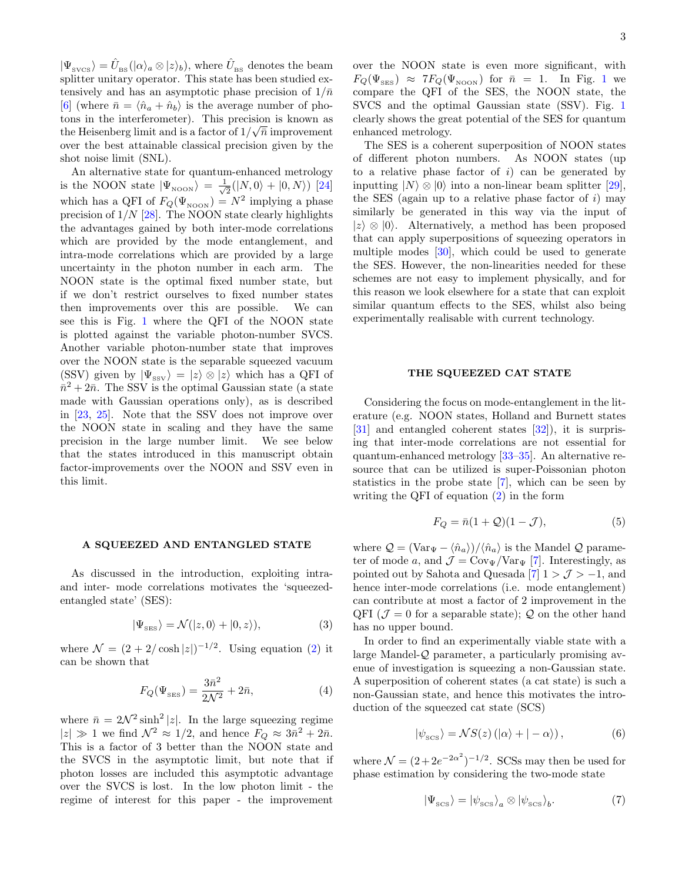$|\Psi_{\rm{svcs}}\rangle=\hat{U}_{\rm{BS}}(|\alpha\rangle_a\otimes|z\rangle_b),$  where  $\hat{U}_{\rm{BS}}$  denotes the beam splitter unitary operator. This state has been studied extensively and has an asymptotic phase precision of  $1/\bar{n}$ [\[6\]](#page-6-6) (where  $\bar{n} = \langle \hat{n}_a + \hat{n}_b \rangle$  is the average number of photons in the interferometer). This precision is known as the Heisenberg limit and is a factor of  $1/\sqrt{\overline{n}}$  improvement over the best attainable classical precision given by the shot noise limit (SNL).

An alternative state for quantum-enhanced metrology is the NOON state  $|\Psi_{\text{noon}}\rangle = \frac{1}{\sqrt{2}}$  $\frac{1}{2}(|N,0\rangle + |0,N\rangle)$  [\[24\]](#page-7-8) which has a QFI of  $F_Q(\Psi_{\text{noon}}) = N^2$  implying a phase precision of  $1/N$  [\[28\]](#page-7-14). The NOON state clearly highlights the advantages gained by both inter-mode correlations which are provided by the mode entanglement, and intra-mode correlations which are provided by a large uncertainty in the photon number in each arm. The NOON state is the optimal fixed number state, but if we don't restrict ourselves to fixed number states then improvements over this are possible. We can see this is Fig. [1](#page-1-0) where the QFI of the NOON state is plotted against the variable photon-number SVCS. Another variable photon-number state that improves over the NOON state is the separable squeezed vacuum (SSV) given by  $|\Psi_{ssv}\rangle = |z\rangle \otimes |z\rangle$  which has a QFI of  $\bar{n}^2 + 2\bar{n}$ . The SSV is the optimal Gaussian state (a state made with Gaussian operations only), as is described in [\[23,](#page-7-7) [25\]](#page-7-9). Note that the SSV does not improve over the NOON state in scaling and they have the same precision in the large number limit. We see below that the states introduced in this manuscript obtain factor-improvements over the NOON and SSV even in this limit.

#### A SQUEEZED AND ENTANGLED STATE

As discussed in the introduction, exploiting intraand inter- mode correlations motivates the 'squeezedentangled state' (SES):

$$
|\Psi_{\rm SES}\rangle = \mathcal{N}(|z,0\rangle + |0,z\rangle),\tag{3}
$$

where  $\mathcal{N} = (2 + 2/\cosh |z|)^{-1/2}$ . Using equation [\(2\)](#page-1-2) it can be shown that

$$
F_Q(\Psi_{\text{SES}}) = \frac{3\bar{n}^2}{2\mathcal{N}^2} + 2\bar{n},\tag{4}
$$

where  $\bar{n} = 2\mathcal{N}^2 \sinh^2 |z|$ . In the large squeezing regime  $|z| \gg 1$  we find  $\mathcal{N}^2 \approx 1/2$ , and hence  $F_Q \approx 3\bar{n}^2 + 2\bar{n}$ . This is a factor of 3 better than the NOON state and the SVCS in the asymptotic limit, but note that if photon losses are included this asymptotic advantage over the SVCS is lost. In the low photon limit - the regime of interest for this paper - the improvement

over the NOON state is even more significant, with  $F_Q(\Psi_{\text{SES}}) \approx 7F_Q(\Psi_{\text{NoON}})$  for  $\bar{n} = 1$  $\bar{n} = 1$ . In Fig. 1 we compare the QFI of the SES, the NOON state, the SVCS and the optimal Gaussian state (SSV). Fig. [1](#page-1-0) clearly shows the great potential of the SES for quantum enhanced metrology.

The SES is a coherent superposition of NOON states of different photon numbers. As NOON states (up to a relative phase factor of  $i$ ) can be generated by inputting  $|N\rangle \otimes |0\rangle$  into a non-linear beam splitter [\[29\]](#page-7-15), the SES (again up to a relative phase factor of  $i$ ) may similarly be generated in this way via the input of  $|z\rangle \otimes |0\rangle$ . Alternatively, a method has been proposed that can apply superpositions of squeezing operators in multiple modes [\[30\]](#page-7-16), which could be used to generate the SES. However, the non-linearities needed for these schemes are not easy to implement physically, and for this reason we look elsewhere for a state that can exploit similar quantum effects to the SES, whilst also being experimentally realisable with current technology.

#### <span id="page-3-0"></span>THE SQUEEZED CAT STATE

Considering the focus on mode-entanglement in the literature (e.g. NOON states, Holland and Burnett states [\[31\]](#page-7-17) and entangled coherent states [\[32\]](#page-7-18)), it is surprising that inter-mode correlations are not essential for quantum-enhanced metrology [\[33–](#page-7-19)[35\]](#page-7-20). An alternative resource that can be utilized is super-Poissonian photon statistics in the probe state [\[7\]](#page-6-10), which can be seen by writing the QFI of equation [\(2\)](#page-1-2) in the form

$$
F_Q = \bar{n}(1+Q)(1-\mathcal{J}),\tag{5}
$$

where  $\mathcal{Q} = (\text{Var}_{\Psi} - \langle \hat{n}_a \rangle)/\langle \hat{n}_a \rangle$  is the Mandel  $\mathcal{Q}$  parameter of mode a, and  $\mathcal{J} = \text{Cov}_{\Psi}/\text{Var}_{\Psi}$  [\[7\]](#page-6-10). Interestingly, as pointed out by Sahota and Quesada [\[7\]](#page-6-10)  $1 > J > -1$ , and hence inter-mode correlations (i.e. mode entanglement) can contribute at most a factor of 2 improvement in the QFI ( $\mathcal{J} = 0$  for a separable state);  $\mathcal{Q}$  on the other hand has no upper bound.

In order to find an experimentally viable state with a large Mandel-Q parameter, a particularly promising avenue of investigation is squeezing a non-Gaussian state. A superposition of coherent states (a cat state) is such a non-Gaussian state, and hence this motivates the introduction of the squeezed cat state (SCS)

$$
|\psi_{\rm SCS}\rangle = NS(z) (|\alpha\rangle + |-\alpha\rangle), \qquad (6)
$$

where  $\mathcal{N} = (2 + 2e^{-2\alpha^2})^{-1/2}$ . SCSs may then be used for phase estimation by considering the two-mode state

$$
|\Psi_{\rm scs}\rangle = |\psi_{\rm scs}\rangle_a \otimes |\psi_{\rm scs}\rangle_b. \tag{7}
$$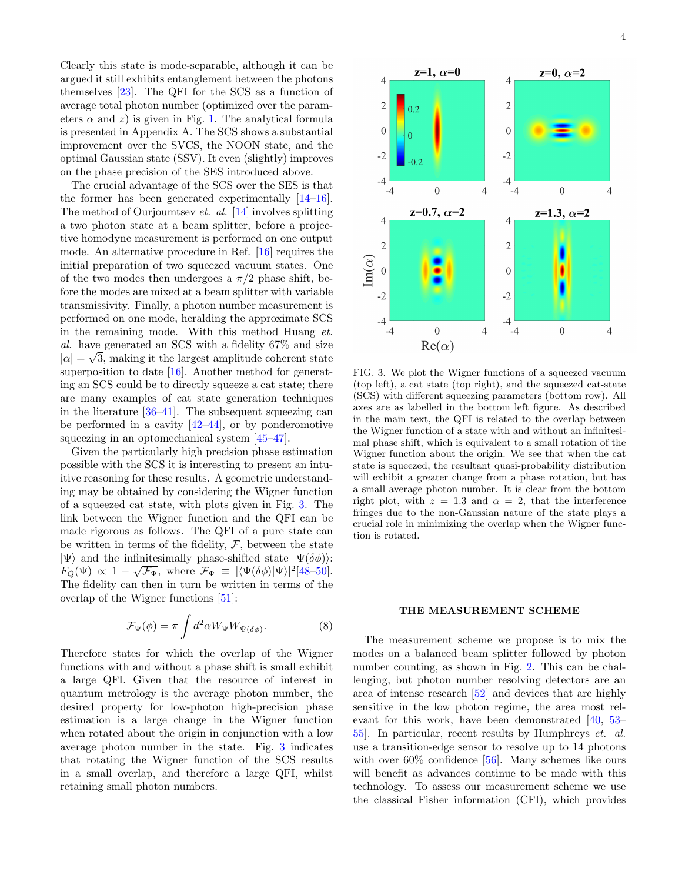Clearly this state is mode-separable, although it can be argued it still exhibits entanglement between the photons themselves [\[23\]](#page-7-7). The QFI for the SCS as a function of average total photon number (optimized over the parameters  $\alpha$  and z) is given in Fig. [1.](#page-1-0) The analytical formula is presented in Appendix A. The SCS shows a substantial improvement over the SVCS, the NOON state, and the optimal Gaussian state (SSV). It even (slightly) improves on the phase precision of the SES introduced above.

<span id="page-4-0"></span>The crucial advantage of the SCS over the SES is that the former has been generated experimentally [\[14–](#page-7-10)[16\]](#page-7-11). The method of Ourjoumtsev et. al. [\[14\]](#page-7-10) involves splitting a two photon state at a beam splitter, before a projective homodyne measurement is performed on one output mode. An alternative procedure in Ref. [\[16\]](#page-7-11) requires the initial preparation of two squeezed vacuum states. One of the two modes then undergoes a  $\pi/2$  phase shift, before the modes are mixed at a beam splitter with variable transmissivity. Finally, a photon number measurement is performed on one mode, heralding the approximate SCS in the remaining mode. With this method Huang et. al. have generated an SCS with a fidelity 67% and size  $|\alpha| = \sqrt{3}$ , making it the largest amplitude coherent state superposition to date [\[16\]](#page-7-11). Another method for generating an SCS could be to directly squeeze a cat state; there are many examples of cat state generation techniques in the literature [\[36–](#page-7-21)[41\]](#page-7-22). The subsequent squeezing can be performed in a cavity  $[42-44]$  $[42-44]$ , or by ponderomotive squeezing in an optomechanical system [\[45](#page-7-25)[–47\]](#page-7-26).

Given the particularly high precision phase estimation possible with the SCS it is interesting to present an intuitive reasoning for these results. A geometric understanding may be obtained by considering the Wigner function of a squeezed cat state, with plots given in Fig. [3.](#page-3-0) The link between the Wigner function and the QFI can be made rigorous as follows. The QFI of a pure state can be written in terms of the fidelity,  $F$ , between the state  $|\Psi\rangle$  and the infinitesimally phase-shifted state  $|\Psi(\delta\phi)\rangle$ :  $F_Q(\Psi) \propto 1 - \sqrt{\mathcal{F}_{\Psi}}$ , where  $\mathcal{F}_{\Psi} \equiv |\langle \Psi(\delta \phi) | \Psi \rangle|^2 [48-50].$  $\mathcal{F}_{\Psi} \equiv |\langle \Psi(\delta \phi) | \Psi \rangle|^2 [48-50].$  $\mathcal{F}_{\Psi} \equiv |\langle \Psi(\delta \phi) | \Psi \rangle|^2 [48-50].$ The fidelity can then in turn be written in terms of the overlap of the Wigner functions [\[51\]](#page-7-29):

$$
\mathcal{F}_{\Psi}(\phi) = \pi \int d^2 \alpha W_{\Psi} W_{\Psi(\delta \phi)}.
$$
 (8)

Therefore states for which the overlap of the Wigner functions with and without a phase shift is small exhibit a large QFI. Given that the resource of interest in quantum metrology is the average photon number, the desired property for low-photon high-precision phase estimation is a large change in the Wigner function when rotated about the origin in conjunction with a low average photon number in the state. Fig. [3](#page-3-0) indicates that rotating the Wigner function of the SCS results in a small overlap, and therefore a large QFI, whilst retaining small photon numbers.



<span id="page-4-1"></span>FIG. 3. We plot the Wigner functions of a squeezed vacuum (top left), a cat state (top right), and the squeezed cat-state (SCS) with different squeezing parameters (bottom row). All axes are as labelled in the bottom left figure. As described in the main text, the QFI is related to the overlap between the Wigner function of a state with and without an infinitesimal phase shift, which is equivalent to a small rotation of the Wigner function about the origin. We see that when the cat state is squeezed, the resultant quasi-probability distribution will exhibit a greater change from a phase rotation, but has a small average photon number. It is clear from the bottom right plot, with  $z = 1.3$  and  $\alpha = 2$ , that the interference fringes due to the non-Gaussian nature of the state plays a crucial role in minimizing the overlap when the Wigner function is rotated.

#### THE MEASUREMENT SCHEME

The measurement scheme we propose is to mix the modes on a balanced beam splitter followed by photon number counting, as shown in Fig. [2.](#page-1-1) This can be challenging, but photon number resolving detectors are an area of intense research [\[52\]](#page-7-30) and devices that are highly sensitive in the low photon regime, the area most relevant for this work, have been demonstrated [\[40,](#page-7-31) [53–](#page-7-32) [55\]](#page-7-33). In particular, recent results by Humphreys et. al. use a transition-edge sensor to resolve up to 14 photons with over  $60\%$  confidence [\[56\]](#page-7-34). Many schemes like ours will benefit as advances continue to be made with this technology. To assess our measurement scheme we use the classical Fisher information (CFI), which provides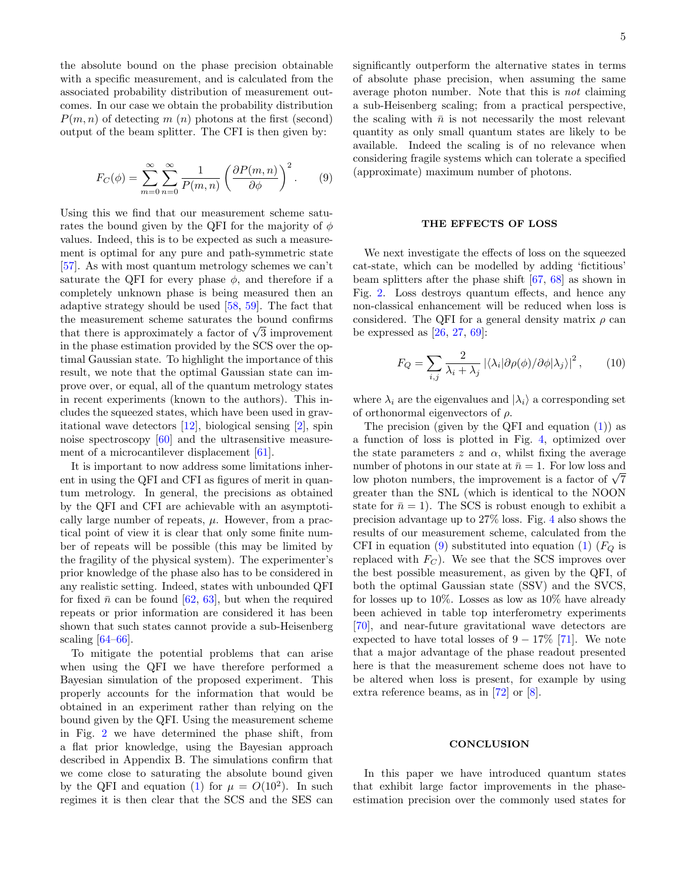the absolute bound on the phase precision obtainable with a specific measurement, and is calculated from the associated probability distribution of measurement outcomes. In our case we obtain the probability distribution  $P(m, n)$  of detecting m (n) photons at the first (second) output of the beam splitter. The CFI is then given by:

$$
F_C(\phi) = \sum_{m=0}^{\infty} \sum_{n=0}^{\infty} \frac{1}{P(m,n)} \left( \frac{\partial P(m,n)}{\partial \phi} \right)^2.
$$
 (9)

<span id="page-5-0"></span>Using this we find that our measurement scheme saturates the bound given by the QFI for the majority of  $\phi$ values. Indeed, this is to be expected as such a measurement is optimal for any pure and path-symmetric state [\[57\]](#page-7-35). As with most quantum metrology schemes we can't saturate the QFI for every phase  $\phi$ , and therefore if a completely unknown phase is being measured then an adaptive strategy should be used [\[58,](#page-7-36) [59\]](#page-7-37). The fact that the measurement scheme saturates the bound confirms that there is approximately a factor of  $\sqrt{3}$  improvement in the phase estimation provided by the SCS over the optimal Gaussian state. To highlight the importance of this result, we note that the optimal Gaussian state can improve over, or equal, all of the quantum metrology states in recent experiments (known to the authors). This includes the squeezed states, which have been used in gravitational wave detectors [\[12\]](#page-6-11), biological sensing [\[2\]](#page-6-2), spin noise spectroscopy [\[60\]](#page-7-38) and the ultrasensitive measurement of a microcantilever displacement [\[61\]](#page-7-39).

It is important to now address some limitations inherent in using the QFI and CFI as figures of merit in quantum metrology. In general, the precisions as obtained by the QFI and CFI are achievable with an asymptotically large number of repeats,  $\mu$ . However, from a practical point of view it is clear that only some finite number of repeats will be possible (this may be limited by the fragility of the physical system). The experimenter's prior knowledge of the phase also has to be considered in any realistic setting. Indeed, states with unbounded QFI for fixed  $\bar{n}$  can be found [\[62,](#page-7-40) [63\]](#page-7-41), but when the required repeats or prior information are considered it has been shown that such states cannot provide a sub-Heisenberg scaling [\[64](#page-7-42)[–66\]](#page-7-43).

To mitigate the potential problems that can arise when using the QFI we have therefore performed a Bayesian simulation of the proposed experiment. This properly accounts for the information that would be obtained in an experiment rather than relying on the bound given by the QFI. Using the measurement scheme in Fig. [2](#page-1-1) we have determined the phase shift, from a flat prior knowledge, using the Bayesian approach described in Appendix B. The simulations confirm that we come close to saturating the absolute bound given by the QFI and equation [\(1\)](#page-1-3) for  $\mu = O(10^2)$ . In such regimes it is then clear that the SCS and the SES can significantly outperform the alternative states in terms of absolute phase precision, when assuming the same average photon number. Note that this is not claiming a sub-Heisenberg scaling; from a practical perspective, the scaling with  $\bar{n}$  is not necessarily the most relevant quantity as only small quantum states are likely to be available. Indeed the scaling is of no relevance when considering fragile systems which can tolerate a specified (approximate) maximum number of photons.

#### THE EFFECTS OF LOSS

We next investigate the effects of loss on the squeezed cat-state, which can be modelled by adding 'fictitious' beam splitters after the phase shift [\[67,](#page-7-44) [68\]](#page-7-45) as shown in Fig. [2.](#page-1-1) Loss destroys quantum effects, and hence any non-classical enhancement will be reduced when loss is considered. The QFI for a general density matrix  $\rho$  can be expressed as  $[26, 27, 69]$  $[26, 27, 69]$  $[26, 27, 69]$  $[26, 27, 69]$ :

$$
F_Q = \sum_{i,j} \frac{2}{\lambda_i + \lambda_j} \left| \langle \lambda_i | \partial \rho(\phi) / \partial \phi | \lambda_j \rangle \right|^2, \qquad (10)
$$

where  $\lambda_i$  are the eigenvalues and  $|\lambda_i\rangle$  a corresponding set of orthonormal eigenvectors of  $\rho$ .

The precision (given by the QFI and equation [\(1\)](#page-1-3)) as a function of loss is plotted in Fig. [4,](#page-5-0) optimized over the state parameters  $z$  and  $\alpha$ , whilst fixing the average number of photons in our state at  $\bar{n} = 1$ . For low loss and low photon numbers, the improvement is a factor of  $\sqrt{7}$ greater than the SNL (which is identical to the NOON state for  $\bar{n} = 1$ ). The SCS is robust enough to exhibit a precision advantage up to 27% loss. Fig. [4](#page-5-0) also shows the results of our measurement scheme, calculated from the CFI in equation [\(9\)](#page-4-0) substituted into equation [\(1\)](#page-1-3)  $(F<sub>O</sub>$  is replaced with  $F_C$ ). We see that the SCS improves over the best possible measurement, as given by the QFI, of both the optimal Gaussian state (SSV) and the SVCS, for losses up to 10%. Losses as low as 10% have already been achieved in table top interferometry experiments [\[70\]](#page-7-47), and near-future gravitational wave detectors are expected to have total losses of  $9 - 17\%$  [\[71\]](#page-8-0). We note that a major advantage of the phase readout presented here is that the measurement scheme does not have to be altered when loss is present, for example by using extra reference beams, as in [\[72\]](#page-8-1) or [\[8\]](#page-6-12).

#### **CONCLUSION**

In this paper we have introduced quantum states that exhibit large factor improvements in the phaseestimation precision over the commonly used states for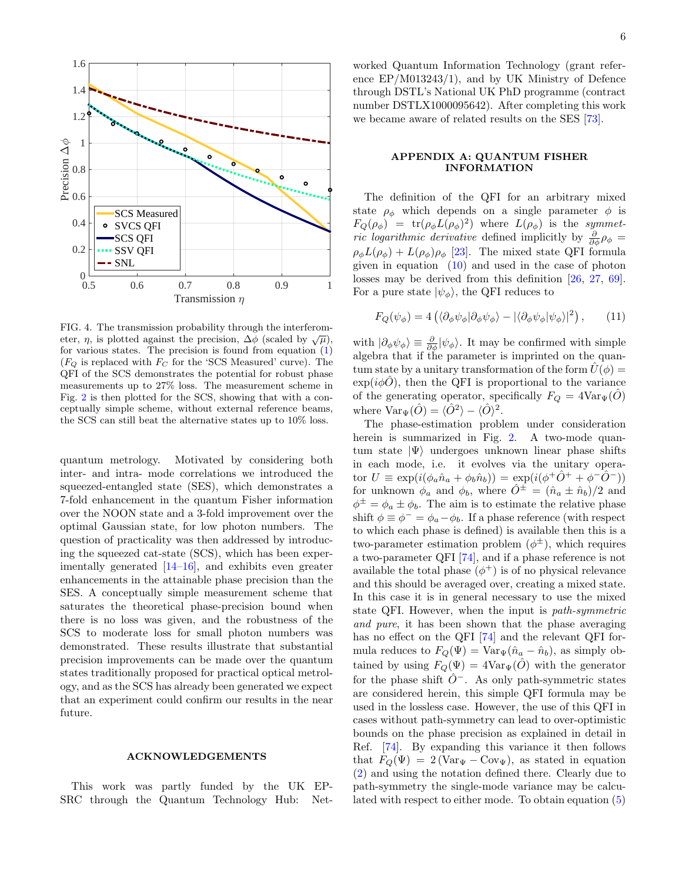

FIG. 4. The transmission probability through the interferometer,  $\eta$ , is plotted against the precision,  $\Delta \phi$  (scaled by  $\sqrt{\mu}$ ), for various states. The precision is found from equation  $(1)$  $(F_Q$  is replaced with  $F_C$  for the 'SCS Measured' curve). The QFI of the SCS demonstrates the potential for robust phase measurements up to 27% loss. The measurement scheme in Fig. [2](#page-1-1) is then plotted for the SCS, showing that with a conceptually simple scheme, without external reference beams, the SCS can still beat the alternative states up to 10% loss.

quantum metrology. Motivated by considering both inter- and intra- mode correlations we introduced the squeezed-entangled state (SES), which demonstrates a 7-fold enhancement in the quantum Fisher information over the NOON state and a 3-fold improvement over the optimal Gaussian state, for low photon numbers. The question of practicality was then addressed by introducing the squeezed cat-state (SCS), which has been experimentally generated [\[14–](#page-7-10)[16\]](#page-7-11), and exhibits even greater enhancements in the attainable phase precision than the SES. A conceptually simple measurement scheme that saturates the theoretical phase-precision bound when there is no loss was given, and the robustness of the SCS to moderate loss for small photon numbers was demonstrated. These results illustrate that substantial precision improvements can be made over the quantum states traditionally proposed for practical optical metrology, and as the SCS has already been generated we expect that an experiment could confirm our results in the near future.

#### <span id="page-6-11"></span><span id="page-6-9"></span><span id="page-6-8"></span><span id="page-6-7"></span>ACKNOWLEDGEMENTS

This work was partly funded by the UK EP-SRC through the Quantum Technology Hub: Net-

worked Quantum Information Technology (grant reference EP/M013243/1), and by UK Ministry of Defence through DSTL's National UK PhD programme (contract number DSTLX1000095642). After completing this work we became aware of related results on the SES [\[73\]](#page-8-2).

#### APPENDIX A: QUANTUM FISHER INFORMATION

The definition of the QFI for an arbitrary mixed state  $\rho_{\phi}$  which depends on a single parameter  $\phi$  is  $F_Q(\rho_{\phi}) = \text{tr}(\rho_{\phi}L(\rho_{\phi})^2)$  where  $L(\rho_{\phi})$  is the symmet*ric logarithmic derivative* defined implicitly by  $\frac{\partial}{\partial \phi} \rho_{\phi} =$  $\rho_{\phi}L(\rho_{\phi})+L(\rho_{\phi})\rho_{\phi}$  [\[23\]](#page-7-7). The mixed state QFI formula given in equation  $(10)$  and used in the case of photon losses may be derived from this definition [\[26,](#page-7-12) [27,](#page-7-13) [69\]](#page-7-46). For a pure state  $|\psi_{\phi}\rangle$ , the QFI reduces to

$$
F_Q(\psi_{\phi}) = 4\left(\langle \partial_{\phi}\psi_{\phi} | \partial_{\phi}\psi_{\phi} \rangle - |\langle \partial_{\phi}\psi_{\phi} | \psi_{\phi} \rangle|^2\right), \qquad (11)
$$

with  $|\partial_{\phi}\psi_{\phi}\rangle \equiv \frac{\partial}{\partial \phi}|\psi_{\phi}\rangle$ . It may be confirmed with simple algebra that if the parameter is imprinted on the quantum state by a unitary transformation of the form  $U(\phi) =$  $\exp(i\phi\hat{O})$ , then the QFI is proportional to the variance of the generating operator, specifically  $F_Q = 4 \text{Var}_{\Psi}(O)$ where  $\text{Var}_{\Psi}(\hat{O}) = \langle \hat{O}^2 \rangle - \langle \hat{O} \rangle^2$ .

<span id="page-6-12"></span><span id="page-6-10"></span><span id="page-6-6"></span><span id="page-6-5"></span><span id="page-6-4"></span><span id="page-6-3"></span><span id="page-6-2"></span><span id="page-6-1"></span><span id="page-6-0"></span>The phase-estimation problem under consideration herein is summarized in Fig. [2.](#page-1-1) A two-mode quantum state  $|\Psi\rangle$  undergoes unknown linear phase shifts in each mode, i.e. it evolves via the unitary operator  $U \equiv \exp(i(\phi_a \hat{n}_a + \phi_b \hat{n}_b)) = \exp(i(\phi^+ \hat{O}^+ + \phi^- \hat{O}^-))$ for unknown  $\phi_a$  and  $\phi_b$ , where  $\hat{O}^{\pm} = (\hat{n}_a \pm \hat{n}_b)/2$  and  $\phi^{\pm} = \phi_a \pm \phi_b$ . The aim is to estimate the relative phase shift  $\phi \equiv \phi^- = \phi_a - \phi_b$ . If a phase reference (with respect to which each phase is defined) is available then this is a two-parameter estimation problem  $(\phi^{\pm})$ , which requires a two-parameter QFI [\[74\]](#page-8-3), and if a phase reference is not available the total phase  $(\phi^+)$  is of no physical relevance and this should be averaged over, creating a mixed state. In this case it is in general necessary to use the mixed state QFI. However, when the input is path-symmetric and pure, it has been shown that the phase averaging has no effect on the QFI  $[74]$  and the relevant QFI formula reduces to  $F_Q(\Psi) = \text{Var}_{\Psi}(\hat{n}_a - \hat{n}_b)$ , as simply obtained by using  $F_Q(\Psi) = 4 \text{Var}_{\Psi}(\hat{O})$  with the generator for the phase shift  $\hat{O}^-$ . As only path-symmetric states are considered herein, this simple QFI formula may be used in the lossless case. However, the use of this QFI in cases without path-symmetry can lead to over-optimistic bounds on the phase precision as explained in detail in Ref. [\[74\]](#page-8-3). By expanding this variance it then follows that  $F_Q(\Psi) = 2(\text{Var}_{\Psi} - \text{Cov}_{\Psi})$ , as stated in equation [\(2\)](#page-1-2) and using the notation defined there. Clearly due to path-symmetry the single-mode variance may be calculated with respect to either mode. To obtain equation [\(5\)](#page-2-0)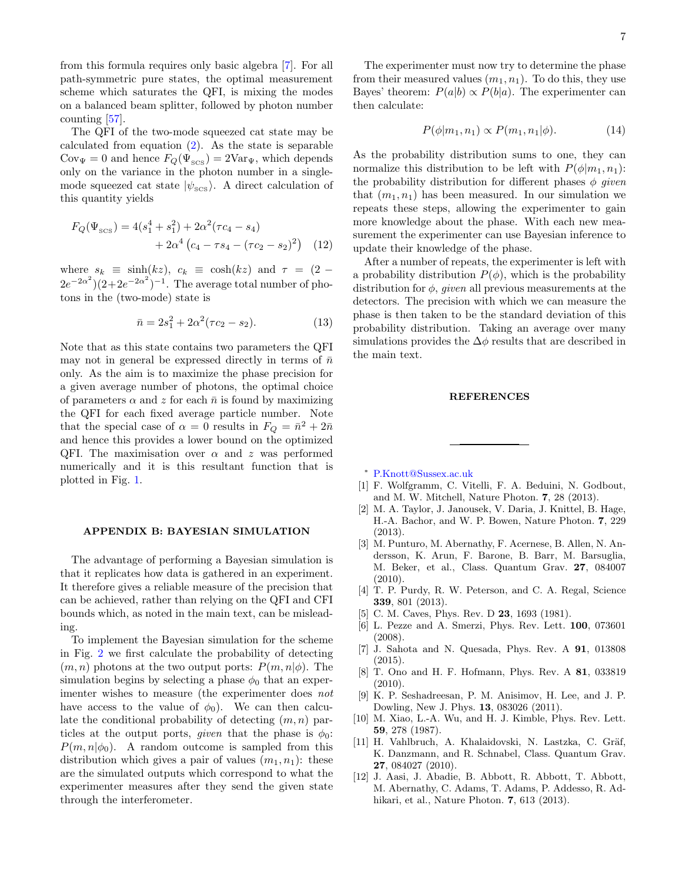<span id="page-7-0"></span>from this formula requires only basic algebra [\[7\]](#page-6-10). For all path-symmetric pure states, the optimal measurement scheme which saturates the QFI, is mixing the modes on a balanced beam splitter, followed by photon number

<span id="page-7-11"></span><span id="page-7-10"></span>counting [\[57\]](#page-7-35). The QFI of the two-mode squeezed cat state may be calculated from equation  $(2)$ . As the state is separable  $Cov_{\Psi} = 0$  and hence  $F_Q(\Psi_{\text{SCS}}) = 2Var_{\Psi}$ , which depends only on the variance in the photon number in a singlemode squeezed cat state  $|\psi_{\text{scs}}\rangle$ . A direct calculation of this quantity yields

<span id="page-7-2"></span><span id="page-7-1"></span>
$$
F_Q(\Psi_{SCS}) = 4(s_1^4 + s_1^2) + 2\alpha^2(\tau c_4 - s_4)
$$
  
+ 2\alpha^4 (c\_4 - \tau s\_4 - (\tau c\_2 - s\_2)^2) (12)

<span id="page-7-4"></span><span id="page-7-3"></span>where  $s_k \equiv \sinh(kz)$ ,  $c_k \equiv \cosh(kz)$  and  $\tau = (2 (2e^{-2\alpha^2})(2+2e^{-2\alpha^2})^{-1}$ . The average total number of photons in the (two-mode) state is

$$
\bar{n} = 2s_1^2 + 2\alpha^2(\tau c_2 - s_2). \tag{13}
$$

<span id="page-7-9"></span><span id="page-7-8"></span><span id="page-7-7"></span><span id="page-7-6"></span><span id="page-7-5"></span>Note that as this state contains two parameters the QFI may not in general be expressed directly in terms of  $\bar{n}$ only. As the aim is to maximize the phase precision for a given average number of photons, the optimal choice of parameters  $\alpha$  and z for each  $\bar{n}$  is found by maximizing the QFI for each fixed average particle number. Note that the special case of  $\alpha = 0$  results in  $F_Q = \bar{n}^2 + 2\bar{n}$ and hence this provides a lower bound on the optimized QFI. The maximisation over  $\alpha$  and z was performed numerically and it is this resultant function that is plotted in Fig. [1.](#page-1-0)

#### <span id="page-7-16"></span><span id="page-7-15"></span><span id="page-7-14"></span><span id="page-7-13"></span><span id="page-7-12"></span>APPENDIX B: BAYESIAN SIMULATION

<span id="page-7-19"></span><span id="page-7-18"></span><span id="page-7-17"></span>The advantage of performing a Bayesian simulation is that it replicates how data is gathered in an experiment. It therefore gives a reliable measure of the precision that can be achieved, rather than relying on the QFI and CFI bounds which, as noted in the main text, can be misleading.

<span id="page-7-31"></span><span id="page-7-22"></span><span id="page-7-21"></span><span id="page-7-20"></span>To implement the Bayesian simulation for the scheme in Fig. [2](#page-1-1) we first calculate the probability of detecting  $(m, n)$  photons at the two output ports:  $P(m, n | \phi)$ . The simulation begins by selecting a phase  $\phi_0$  that an experimenter wishes to measure (the experimenter does not have access to the value of  $\phi_0$ ). We can then calculate the conditional probability of detecting  $(m, n)$  particles at the output ports, given that the phase is  $\phi_0$ :  $P(m, n | \phi_0)$ . A random outcome is sampled from this distribution which gives a pair of values  $(m_1, n_1)$ : these are the simulated outputs which correspond to what the experimenter measures after they send the given state through the interferometer.

<span id="page-7-23"></span>The experimenter must now try to determine the phase from their measured values  $(m_1, n_1)$ . To do this, they use Bayes' theorem:  $P(a|b) \propto P(b|a)$ . The experimenter can then calculate:

$$
P(\phi|m_1, n_1) \propto P(m_1, n_1|\phi). \tag{14}
$$

<span id="page-7-26"></span><span id="page-7-25"></span><span id="page-7-24"></span>As the probability distribution sums to one, they can normalize this distribution to be left with  $P(\phi|m_1, n_1)$ : the probability distribution for different phases  $\phi$  given that  $(m_1, n_1)$  has been measured. In our simulation we repeats these steps, allowing the experimenter to gain more knowledge about the phase. With each new measurement the experimenter can use Bayesian inference to update their knowledge of the phase.

<span id="page-7-32"></span><span id="page-7-30"></span><span id="page-7-29"></span><span id="page-7-28"></span><span id="page-7-27"></span>After a number of repeats, the experimenter is left with a probability distribution  $P(\phi)$ , which is the probability distribution for  $\phi$ , *given* all previous measurements at the detectors. The precision with which we can measure the phase is then taken to be the standard deviation of this probability distribution. Taking an average over many simulations provides the  $\Delta\phi$  results that are described in the main text.

#### **REFERENCES**

<span id="page-7-34"></span><span id="page-7-33"></span><sup>∗</sup> [P.Knott@Sussex.ac.uk](mailto:P.Knott@Sussex.ac.uk)

- <span id="page-7-35"></span>[1] F. Wolfgramm, C. Vitelli, F. A. Beduini, N. Godbout, and M. W. Mitchell, Nature Photon. 7, 28 (2013).
- <span id="page-7-36"></span>[2] M. A. Taylor, J. Janousek, V. Daria, J. Knittel, B. Hage, H.-A. Bachor, and W. P. Bowen, Nature Photon. 7, 229 (2013).
- <span id="page-7-38"></span><span id="page-7-37"></span>[3] M. Punturo, M. Abernathy, F. Acernese, B. Allen, N. Andersson, K. Arun, F. Barone, B. Barr, M. Barsuglia, M. Beker, et al., Class. Quantum Grav. 27, 084007  $(2010)$ .
- <span id="page-7-40"></span><span id="page-7-39"></span>[4] T. P. Purdy, R. W. Peterson, and C. A. Regal, Science 339, 801 (2013).
- <span id="page-7-41"></span>[5] C. M. Caves, Phys. Rev. D **23**, 1693 (1981).
- <span id="page-7-42"></span>[6] L. Pezze and A. Smerzi, Phys. Rev. Lett. 100, 073601 (2008).
- [7] J. Sahota and N. Quesada, Phys. Rev. A 91, 013808 (2015).
- <span id="page-7-43"></span>[8] T. Ono and H. F. Hofmann, Phys. Rev. A 81, 033819 (2010).
- <span id="page-7-45"></span><span id="page-7-44"></span>[9] K. P. Seshadreesan, P. M. Anisimov, H. Lee, and J. P. Dowling, New J. Phys. 13, 083026 (2011).
- [10] M. Xiao, L.-A. Wu, and H. J. Kimble, Phys. Rev. Lett. 59, 278 (1987).
- <span id="page-7-46"></span>[11] H. Vahlbruch, A. Khalaidovski, N. Lastzka, C. Gräf, K. Danzmann, and R. Schnabel, Class. Quantum Grav. 27, 084027 (2010).
- <span id="page-7-47"></span>[12] J. Aasi, J. Abadie, B. Abbott, R. Abbott, T. Abbott, M. Abernathy, C. Adams, T. Adams, P. Addesso, R. Adhikari, et al., Nature Photon. 7, 613 (2013).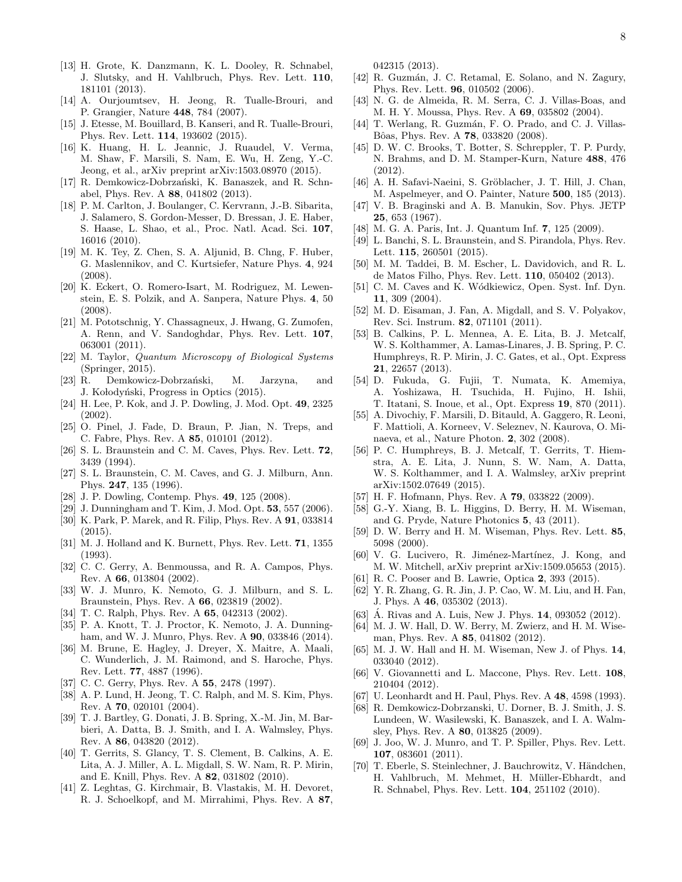- <span id="page-8-0"></span>[13] H. Grote, K. Danzmann, K. L. Dooley, R. Schnabel, J. Slutsky, and H. Vahlbruch, Phys. Rev. Lett. 110, 181101 (2013).
- <span id="page-8-1"></span>[14] A. Ourjoumtsev, H. Jeong, R. Tualle-Brouri, and P. Grangier, Nature 448, 784 (2007).
- [15] J. Etesse, M. Bouillard, B. Kanseri, and R. Tualle-Brouri, Phys. Rev. Lett. 114, 193602 (2015).
- [16] K. Huang, H. L. Jeannic, J. Ruaudel, V. Verma, M. Shaw, F. Marsili, S. Nam, E. Wu, H. Zeng, Y.-C. Jeong, et al., arXiv preprint arXiv:1503.08970 (2015).
- [17] R. Demkowicz-Dobrzański, K. Banaszek, and R. Schnabel, Phys. Rev. A 88, 041802 (2013).
- [18] P. M. Carlton, J. Boulanger, C. Kervrann, J.-B. Sibarita, J. Salamero, S. Gordon-Messer, D. Bressan, J. E. Haber, S. Haase, L. Shao, et al., Proc. Natl. Acad. Sci. 107, 16016 (2010).
- [19] M. K. Tey, Z. Chen, S. A. Aljunid, B. Chng, F. Huber, G. Maslennikov, and C. Kurtsiefer, Nature Phys. 4, 924 (2008).
- [20] K. Eckert, O. Romero-Isart, M. Rodriguez, M. Lewenstein, E. S. Polzik, and A. Sanpera, Nature Phys. 4, 50 (2008).
- [21] M. Pototschnig, Y. Chassagneux, J. Hwang, G. Zumofen, A. Renn, and V. Sandoghdar, Phys. Rev. Lett. 107, 063001 (2011).
- [22] M. Taylor, Quantum Microscopy of Biological Systems (Springer, 2015).
- [23] R. Demkowicz-Dobrzański, M. Jarzyna, and J. Kołodyński, Progress in Optics (2015).
- [24] H. Lee, P. Kok, and J. P. Dowling, J. Mod. Opt. 49, 2325 (2002).
- [25] O. Pinel, J. Fade, D. Braun, P. Jian, N. Treps, and C. Fabre, Phys. Rev. A 85, 010101 (2012).
- [26] S. L. Braunstein and C. M. Caves, Phys. Rev. Lett. 72, 3439 (1994).
- [27] S. L. Braunstein, C. M. Caves, and G. J. Milburn, Ann. Phys. 247, 135 (1996).
- [28] J. P. Dowling, Contemp. Phys. 49, 125 (2008).
- [29] J. Dunningham and T. Kim, J. Mod. Opt. 53, 557 (2006).
- [30] K. Park, P. Marek, and R. Filip, Phys. Rev. A 91, 033814 (2015).
- [31] M. J. Holland and K. Burnett, Phys. Rev. Lett. **71**, 1355 (1993).
- [32] C. C. Gerry, A. Benmoussa, and R. A. Campos, Phys. Rev. A 66, 013804 (2002).
- [33] W. J. Munro, K. Nemoto, G. J. Milburn, and S. L. Braunstein, Phys. Rev. A 66, 023819 (2002).
- [34] T. C. Ralph, Phys. Rev. A **65**, 042313 (2002).
- [35] P. A. Knott, T. J. Proctor, K. Nemoto, J. A. Dunningham, and W. J. Munro, Phys. Rev. A 90, 033846 (2014).
- [36] M. Brune, E. Hagley, J. Dreyer, X. Maitre, A. Maali, C. Wunderlich, J. M. Raimond, and S. Haroche, Phys. Rev. Lett. 77, 4887 (1996).
- [37] C. C. Gerry, Phys. Rev. A 55, 2478 (1997).
- [38] A. P. Lund, H. Jeong, T. C. Ralph, and M. S. Kim, Phys. Rev. A 70, 020101 (2004).
- [39] T. J. Bartley, G. Donati, J. B. Spring, X.-M. Jin, M. Barbieri, A. Datta, B. J. Smith, and I. A. Walmsley, Phys. Rev. A 86, 043820 (2012).
- [40] T. Gerrits, S. Glancy, T. S. Clement, B. Calkins, A. E. Lita, A. J. Miller, A. L. Migdall, S. W. Nam, R. P. Mirin, and E. Knill, Phys. Rev. A 82, 031802 (2010).
- [41] Z. Leghtas, G. Kirchmair, B. Vlastakis, M. H. Devoret, R. J. Schoelkopf, and M. Mirrahimi, Phys. Rev. A 87,

042315 (2013).

- <span id="page-8-3"></span><span id="page-8-2"></span>[42] R. Guzmán, J. C. Retamal, E. Solano, and N. Zagury, Phys. Rev. Lett. 96, 010502 (2006).
- [43] N. G. de Almeida, R. M. Serra, C. J. Villas-Boas, and M. H. Y. Moussa, Phys. Rev. A 69, 035802 (2004).
- [44] T. Werlang, R. Guzmán, F. O. Prado, and C. J. Villas-Bôas, Phys. Rev. A **78**, 033820 (2008).
- [45] D. W. C. Brooks, T. Botter, S. Schreppler, T. P. Purdy, N. Brahms, and D. M. Stamper-Kurn, Nature 488, 476 (2012).
- [46] A. H. Safavi-Naeini, S. Gröblacher, J. T. Hill, J. Chan, M. Aspelmeyer, and O. Painter, Nature 500, 185 (2013).
- [47] V. B. Braginski and A. B. Manukin, Sov. Phys. JETP 25, 653 (1967).
- [48] M. G. A. Paris, Int. J. Quantum Inf. 7, 125 (2009).
- [49] L. Banchi, S. L. Braunstein, and S. Pirandola, Phys. Rev. Lett. 115, 260501 (2015).
- [50] M. M. Taddei, B. M. Escher, L. Davidovich, and R. L. de Matos Filho, Phys. Rev. Lett. 110, 050402 (2013).
- [51] C. M. Caves and K. Wódkiewicz, Open. Syst. Inf. Dyn. 11, 309 (2004).
- [52] M. D. Eisaman, J. Fan, A. Migdall, and S. V. Polyakov, Rev. Sci. Instrum. 82, 071101 (2011).
- [53] B. Calkins, P. L. Mennea, A. E. Lita, B. J. Metcalf, W. S. Kolthammer, A. Lamas-Linares, J. B. Spring, P. C. Humphreys, R. P. Mirin, J. C. Gates, et al., Opt. Express 21, 22657 (2013).
- [54] D. Fukuda, G. Fujii, T. Numata, K. Amemiya, A. Yoshizawa, H. Tsuchida, H. Fujino, H. Ishii, T. Itatani, S. Inoue, et al., Opt. Express 19, 870 (2011).
- [55] A. Divochiy, F. Marsili, D. Bitauld, A. Gaggero, R. Leoni, F. Mattioli, A. Korneev, V. Seleznev, N. Kaurova, O. Minaeva, et al., Nature Photon. 2, 302 (2008).
- [56] P. C. Humphreys, B. J. Metcalf, T. Gerrits, T. Hiemstra, A. E. Lita, J. Nunn, S. W. Nam, A. Datta, W. S. Kolthammer, and I. A. Walmsley, arXiv preprint arXiv:1502.07649 (2015).
- [57] H. F. Hofmann, Phys. Rev. A 79, 033822 (2009).
- [58] G.-Y. Xiang, B. L. Higgins, D. Berry, H. M. Wiseman, and G. Pryde, Nature Photonics 5, 43 (2011).
- [59] D. W. Berry and H. M. Wiseman, Phys. Rev. Lett. 85, 5098 (2000).
- [60] V. G. Lucivero, R. Jiménez-Martínez, J. Kong, and M. W. Mitchell, arXiv preprint arXiv:1509.05653 (2015).
- [61] R. C. Pooser and B. Lawrie, Optica 2, 393 (2015).
- [62] Y. R. Zhang, G. R. Jin, J. P. Cao, W. M. Liu, and H. Fan, J. Phys. A 46, 035302 (2013).
- [63]  $\AA$ . Rivas and  $\AA$ . Luis, New J. Phys. **14**, 093052 (2012).
- [64] M. J. W. Hall, D. W. Berry, M. Zwierz, and H. M. Wiseman, Phys. Rev. A 85, 041802 (2012).
- [65] M. J. W. Hall and H. M. Wiseman, New J. of Phys. 14, 033040 (2012).
- [66] V. Giovannetti and L. Maccone, Phys. Rev. Lett. 108, 210404 (2012).
- [67] U. Leonhardt and H. Paul, Phys. Rev. A 48, 4598 (1993).
- [68] R. Demkowicz-Dobrzanski, U. Dorner, B. J. Smith, J. S. Lundeen, W. Wasilewski, K. Banaszek, and I. A. Walmsley, Phys. Rev. A 80, 013825 (2009).
- [69] J. Joo, W. J. Munro, and T. P. Spiller, Phys. Rev. Lett. 107, 083601 (2011).
- [70] T. Eberle, S. Steinlechner, J. Bauchrowitz, V. Händchen, H. Vahlbruch, M. Mehmet, H. Müller-Ebhardt, and R. Schnabel, Phys. Rev. Lett. 104, 251102 (2010).